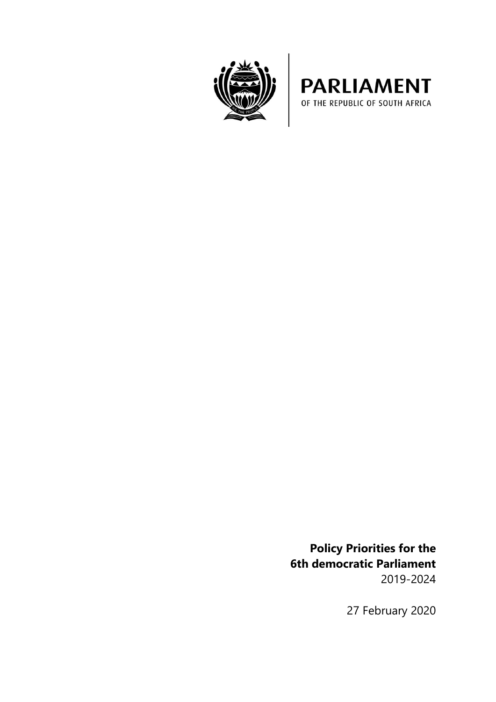



**Policy Priorities for the 6th democratic Parliament** 2019-2024

27 February 2020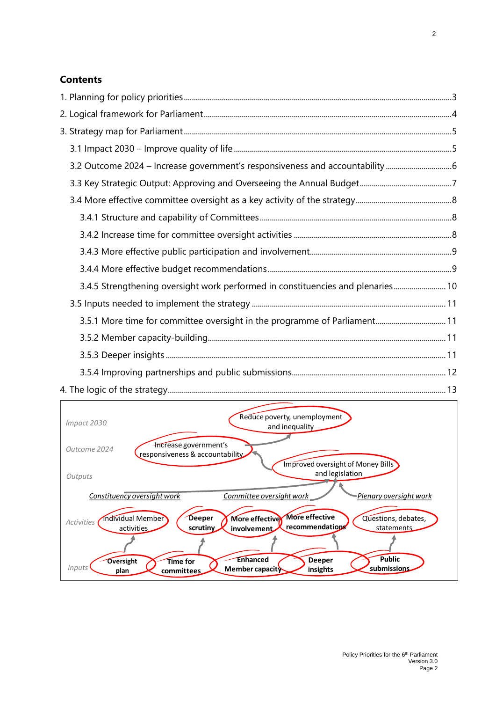# **Contents**

| 3.2 Outcome 2024 - Increase government's responsiveness and accountability 6    |  |
|---------------------------------------------------------------------------------|--|
|                                                                                 |  |
|                                                                                 |  |
|                                                                                 |  |
|                                                                                 |  |
|                                                                                 |  |
|                                                                                 |  |
| 3.4.5 Strengthening oversight work performed in constituencies and plenaries 10 |  |
|                                                                                 |  |
| 3.5.1 More time for committee oversight in the programme of Parliament 11       |  |
|                                                                                 |  |
|                                                                                 |  |
|                                                                                 |  |
|                                                                                 |  |

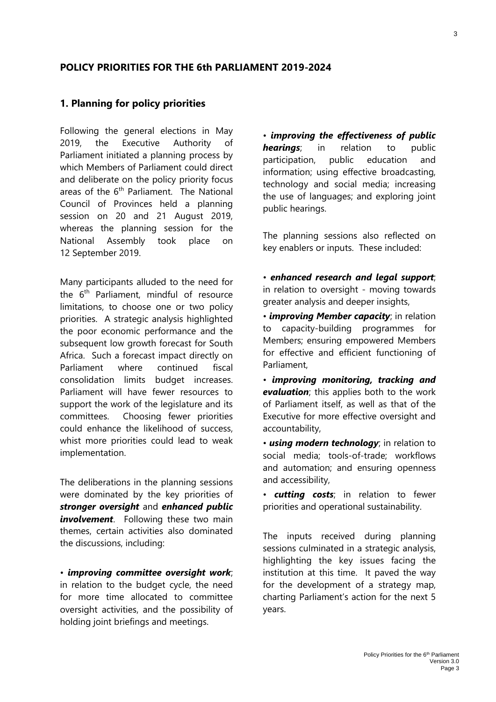### **POLICY PRIORITIES FOR THE 6th PARLIAMENT 2019-2024**

#### <span id="page-2-0"></span>**1. Planning for policy priorities**

Following the general elections in May 2019, the Executive Authority of Parliament initiated a planning process by which Members of Parliament could direct and deliberate on the policy priority focus areas of the 6<sup>th</sup> Parliament. The National Council of Provinces held a planning session on 20 and 21 August 2019, whereas the planning session for the National Assembly took place on 12 September 2019.

Many participants alluded to the need for the  $6<sup>th</sup>$  Parliament, mindful of resource limitations, to choose one or two policy priorities. A strategic analysis highlighted the poor economic performance and the subsequent low growth forecast for South Africa. Such a forecast impact directly on Parliament where continued fiscal consolidation limits budget increases. Parliament will have fewer resources to support the work of the legislature and its committees. Choosing fewer priorities could enhance the likelihood of success, whist more priorities could lead to weak implementation.

The deliberations in the planning sessions were dominated by the key priorities of *stronger oversight* and *enhanced public involvement*. Following these two main themes, certain activities also dominated the discussions, including:

• *improving committee oversight work*; in relation to the budget cycle, the need for more time allocated to committee oversight activities, and the possibility of holding joint briefings and meetings.

• *improving the effectiveness of public hearings*; in relation to public participation, public education and information; using effective broadcasting, technology and social media; increasing the use of languages; and exploring joint public hearings.

The planning sessions also reflected on key enablers or inputs. These included:

• *enhanced research and legal support*; in relation to oversight - moving towards greater analysis and deeper insights,

• *improving Member capacity*; in relation to capacity-building programmes for Members; ensuring empowered Members for effective and efficient functioning of Parliament,

• *improving monitoring, tracking and evaluation*; this applies both to the work of Parliament itself, as well as that of the Executive for more effective oversight and accountability,

• *using modern technology*; in relation to social media; tools-of-trade; workflows and automation; and ensuring openness and accessibility,

• *cutting costs*; in relation to fewer priorities and operational sustainability.

The inputs received during planning sessions culminated in a strategic analysis, highlighting the key issues facing the institution at this time. It paved the way for the development of a strategy map, charting Parliament's action for the next 5 years.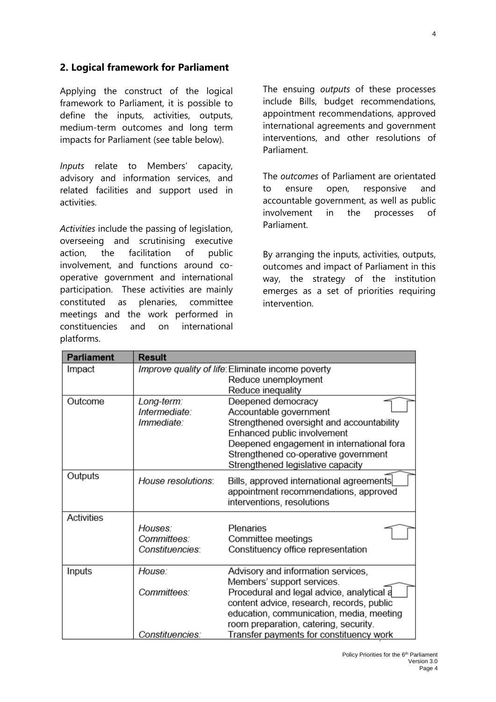## <span id="page-3-0"></span>**2. Logical framework for Parliament**

Applying the construct of the logical framework to Parliament, it is possible to define the inputs, activities, outputs, medium-term outcomes and long term impacts for Parliament (see table below).

*Inputs* relate to Members' capacity, advisory and information services, and related facilities and support used in activities.

*Activities* include the passing of legislation, overseeing and scrutinising executive action, the facilitation of public involvement, and functions around cooperative government and international participation. These activities are mainly constituted as plenaries, committee meetings and the work performed in constituencies and on international platforms.

The ensuing *outputs* of these processes include Bills, budget recommendations, appointment recommendations, approved international agreements and government interventions, and other resolutions of Parliament.

The *outcomes* of Parliament are orientated to ensure open, responsive and accountable government, as well as public involvement in the processes of Parliament.

By arranging the inputs, activities, outputs, outcomes and impact of Parliament in this way, the strategy of the institution emerges as a set of priorities requiring intervention.

| <b>Parliament</b>             | <b>Result</b>                                     |                                           |  |
|-------------------------------|---------------------------------------------------|-------------------------------------------|--|
| Impact                        | Improve quality of life: Eliminate income poverty |                                           |  |
|                               |                                                   | Reduce unemployment                       |  |
|                               |                                                   | Reduce inequality                         |  |
| Outcome                       | Long-term:                                        | Deepened democracy                        |  |
|                               | Intermediate:                                     | Accountable government                    |  |
|                               | Immediate:                                        | Strengthened oversight and accountability |  |
|                               |                                                   | Enhanced public involvement               |  |
|                               |                                                   | Deepened engagement in international fora |  |
|                               |                                                   | Strengthened co-operative government      |  |
|                               |                                                   | Strengthened legislative capacity         |  |
| Outputs<br>House resolutions: |                                                   | Bills, approved international agreements  |  |
|                               |                                                   | appointment recommendations, approved     |  |
|                               |                                                   | interventions, resolutions                |  |
| <b>Activities</b>             |                                                   |                                           |  |
|                               | Houses:                                           | Plenaries                                 |  |
|                               | Committees:                                       | Committee meetings                        |  |
|                               | Constituencies:                                   | Constituency office representation        |  |
|                               |                                                   |                                           |  |
| Inputs                        | House:                                            | Advisory and information services,        |  |
|                               |                                                   | Members' support services.                |  |
|                               | Committees:                                       | Procedural and legal advice, analytical a |  |
|                               |                                                   | content advice, research, records, public |  |
|                               |                                                   | education, communication, media, meeting  |  |
|                               |                                                   | room preparation, catering, security.     |  |
|                               | Constituencies:                                   | Transfer payments for constituency work   |  |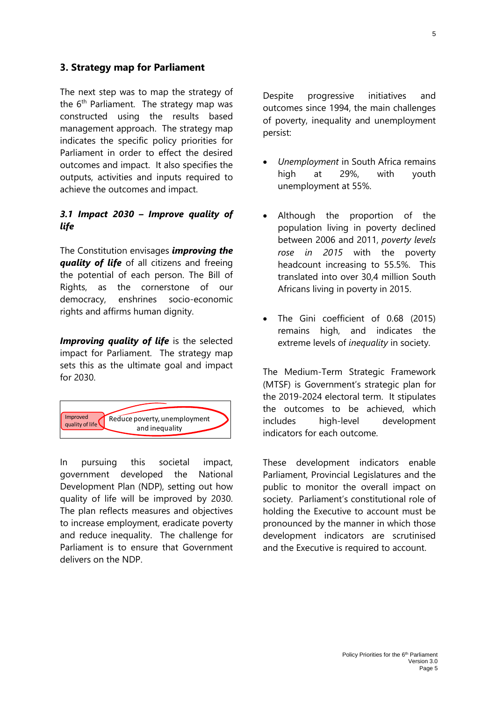#### <span id="page-4-0"></span>**3. Strategy map for Parliament**

The next step was to map the strategy of the  $6<sup>th</sup>$  Parliament. The strategy map was constructed using the results based management approach. The strategy map indicates the specific policy priorities for Parliament in order to effect the desired outcomes and impact. It also specifies the outputs, activities and inputs required to achieve the outcomes and impact.

### <span id="page-4-1"></span>*3.1 Impact 2030 – Improve quality of life*

The Constitution envisages *improving the quality of life* of all citizens and freeing the potential of each person. The Bill of Rights, as the cornerstone of our democracy, enshrines socio-economic rights and affirms human dignity.

**Improving quality of life** is the selected impact for Parliament. The strategy map sets this as the ultimate goal and impact for 2030.



In pursuing this societal impact, government developed the National Development Plan (NDP), setting out how quality of life will be improved by 2030. The plan reflects measures and objectives to increase employment, eradicate poverty and reduce inequality. The challenge for Parliament is to ensure that Government delivers on the NDP.

Despite progressive initiatives and outcomes since 1994, the main challenges of poverty, inequality and unemployment persist:

- *Unemployment* in South Africa remains high at 29%, with youth unemployment at 55%.
- Although the proportion of the population living in poverty declined between 2006 and 2011, *poverty levels rose in 2015* with the poverty headcount increasing to 55.5%. This translated into over 30,4 million South Africans living in poverty in 2015.
- The Gini coefficient of 0.68 (2015) remains high, and indicates the extreme levels of *inequality* in society.

The Medium-Term Strategic Framework (MTSF) is Government's strategic plan for the 2019-2024 electoral term. It stipulates the outcomes to be achieved, which includes high-level development indicators for each outcome.

These development indicators enable Parliament, Provincial Legislatures and the public to monitor the overall impact on society. Parliament's constitutional role of holding the Executive to account must be pronounced by the manner in which those development indicators are scrutinised and the Executive is required to account.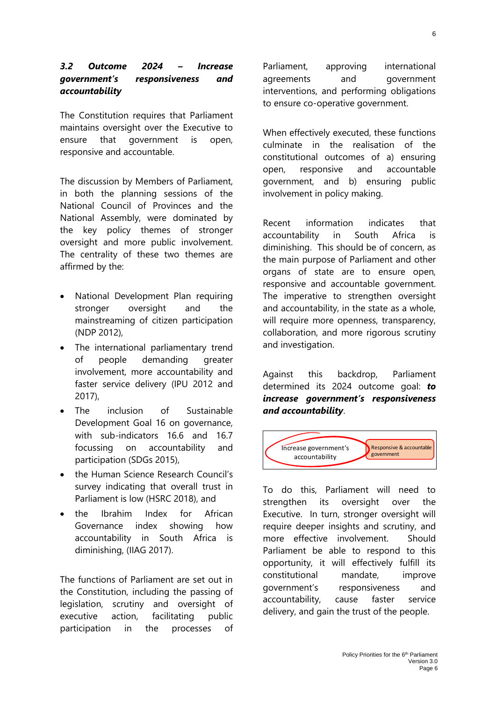### <span id="page-5-0"></span>*3.2 Outcome 2024 – Increase government's responsiveness and accountability*

The Constitution requires that Parliament maintains oversight over the Executive to ensure that government is open, responsive and accountable.

The discussion by Members of Parliament, in both the planning sessions of the National Council of Provinces and the National Assembly, were dominated by the key policy themes of stronger oversight and more public involvement. The centrality of these two themes are affirmed by the:

- National Development Plan requiring stronger oversight and the mainstreaming of citizen participation (NDP 2012),
- The international parliamentary trend of people demanding greater involvement, more accountability and faster service delivery (IPU 2012 and 2017),
- The inclusion of Sustainable Development Goal 16 on governance, with sub-indicators 16.6 and 16.7 focussing on accountability and participation (SDGs 2015),
- the Human Science Research Council's survey indicating that overall trust in Parliament is low (HSRC 2018), and
- the Ibrahim Index for African Governance index showing how accountability in South Africa is diminishing, (IIAG 2017).

The functions of Parliament are set out in the Constitution, including the passing of legislation, scrutiny and oversight of executive action, facilitating public participation in the processes of Parliament, approving international agreements and government interventions, and performing obligations to ensure co-operative government.

When effectively executed, these functions culminate in the realisation of the constitutional outcomes of a) ensuring open, responsive and accountable government, and b) ensuring public involvement in policy making.

Recent information indicates that accountability in South Africa is diminishing. This should be of concern, as the main purpose of Parliament and other organs of state are to ensure open, responsive and accountable government. The imperative to strengthen oversight and accountability, in the state as a whole, will require more openness, transparency, collaboration, and more rigorous scrutiny and investigation.

Against this backdrop, Parliament determined its 2024 outcome goal: *to increase government's responsiveness and accountability*.



To do this, Parliament will need to strengthen its oversight over the Executive. In turn, stronger oversight will require deeper insights and scrutiny, and more effective involvement. Should Parliament be able to respond to this opportunity, it will effectively fulfill its constitutional mandate, improve government's responsiveness and accountability, cause faster service delivery, and gain the trust of the people.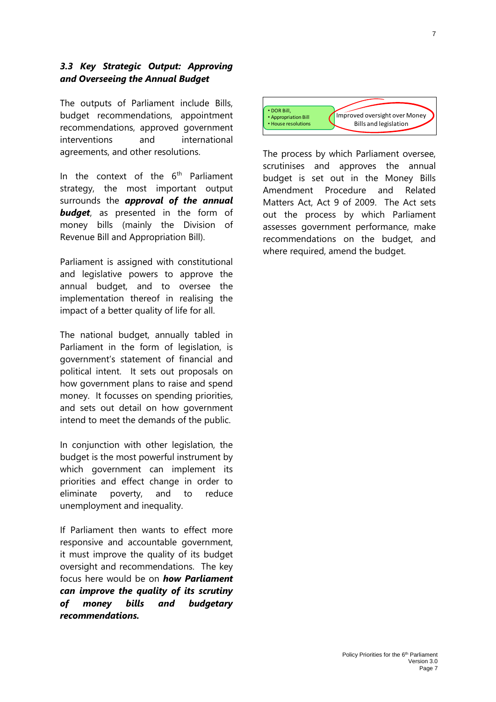#### <span id="page-6-0"></span>*3.3 Key Strategic Output: Approving and Overseeing the Annual Budget*

The outputs of Parliament include Bills, budget recommendations, appointment recommendations, approved government interventions and international agreements, and other resolutions.

In the context of the  $6<sup>th</sup>$  Parliament strategy, the most important output surrounds the *approval of the annual*  **budget**, as presented in the form of money bills (mainly the Division of Revenue Bill and Appropriation Bill).

Parliament is assigned with constitutional and legislative powers to approve the annual budget, and to oversee the implementation thereof in realising the impact of a better quality of life for all.

The national budget, annually tabled in Parliament in the form of legislation, is government's statement of financial and political intent. It sets out proposals on how government plans to raise and spend money. It focusses on spending priorities, and sets out detail on how government intend to meet the demands of the public.

In conjunction with other legislation, the budget is the most powerful instrument by which government can implement its priorities and effect change in order to eliminate poverty, and to reduce unemployment and inequality.

If Parliament then wants to effect more responsive and accountable government, it must improve the quality of its budget oversight and recommendations. The key focus here would be on *how Parliament can improve the quality of its scrutiny of money bills and budgetary recommendations.*



The process by which Parliament oversee, scrutinises and approves the annual budget is set out in the Money Bills Amendment Procedure and Related Matters Act, Act 9 of 2009. The Act sets out the process by which Parliament assesses government performance, make recommendations on the budget, and where required, amend the budget.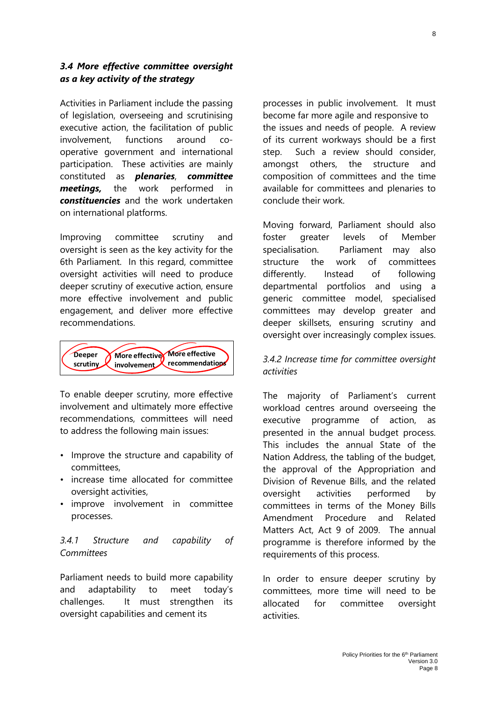#### <span id="page-7-0"></span>*3.4 More effective committee oversight as a key activity of the strategy*

Activities in Parliament include the passing of legislation, overseeing and scrutinising executive action, the facilitation of public involvement, functions around cooperative government and international participation. These activities are mainly constituted as *plenaries*, *committee meetings,* the work performed in *constituencies* and the work undertaken on international platforms.

Improving committee scrutiny and oversight is seen as the key activity for the 6th Parliament. In this regard, committee oversight activities will need to produce deeper scrutiny of executive action, ensure more effective involvement and public engagement, and deliver more effective recommendations.



To enable deeper scrutiny, more effective involvement and ultimately more effective recommendations, committees will need to address the following main issues:

- Improve the structure and capability of committees,
- increase time allocated for committee oversight activities,
- improve involvement in committee processes.

#### <span id="page-7-1"></span>*3.4.1 Structure and capability of Committees*

Parliament needs to build more capability and adaptability to meet today's challenges. It must strengthen its oversight capabilities and cement its

processes in public involvement. It must become far more agile and responsive to the issues and needs of people. A review of its current workways should be a first step. Such a review should consider, amongst others, the structure and composition of committees and the time available for committees and plenaries to conclude their work.

Moving forward, Parliament should also foster greater levels of Member specialisation. Parliament may also structure the work of committees differently. Instead of following departmental portfolios and using a generic committee model, specialised committees may develop greater and deeper skillsets, ensuring scrutiny and oversight over increasingly complex issues.

### <span id="page-7-2"></span>*3.4.2 Increase time for committee oversight activities*

The majority of Parliament's current workload centres around overseeing the executive programme of action, as presented in the annual budget process. This includes the annual State of the Nation Address, the tabling of the budget, the approval of the Appropriation and Division of Revenue Bills, and the related oversight activities performed by committees in terms of the Money Bills Amendment Procedure and Related Matters Act, Act 9 of 2009. The annual programme is therefore informed by the requirements of this process.

In order to ensure deeper scrutiny by committees, more time will need to be allocated for committee oversight activities.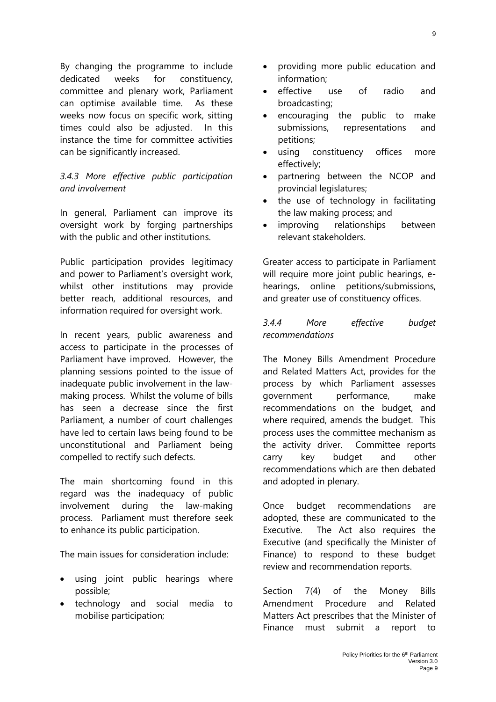By changing the programme to include dedicated weeks for constituency, committee and plenary work, Parliament can optimise available time. As these weeks now focus on specific work, sitting times could also be adjusted. In this instance the time for committee activities can be significantly increased.

### <span id="page-8-0"></span>*3.4.3 More effective public participation and involvement*

In general, Parliament can improve its oversight work by forging partnerships with the public and other institutions.

Public participation provides legitimacy and power to Parliament's oversight work, whilst other institutions may provide better reach, additional resources, and information required for oversight work.

In recent years, public awareness and access to participate in the processes of Parliament have improved. However, the planning sessions pointed to the issue of inadequate public involvement in the lawmaking process. Whilst the volume of bills has seen a decrease since the first Parliament, a number of court challenges have led to certain laws being found to be unconstitutional and Parliament being compelled to rectify such defects.

The main shortcoming found in this regard was the inadequacy of public involvement during the law-making process. Parliament must therefore seek to enhance its public participation.

The main issues for consideration include:

- using joint public hearings where possible;
- technology and social media to mobilise participation;
- providing more public education and information;
- effective use of radio and broadcasting;
- encouraging the public to make submissions, representations and petitions;
- using constituency offices more effectively;
- partnering between the NCOP and provincial legislatures;
- the use of technology in facilitating the law making process; and
- improving relationships between relevant stakeholders.

Greater access to participate in Parliament will require more joint public hearings, ehearings, online petitions/submissions, and greater use of constituency offices.

### <span id="page-8-1"></span>*3.4.4 More effective budget recommendations*

The Money Bills Amendment Procedure and Related Matters Act, provides for the process by which Parliament assesses government performance, make recommendations on the budget, and where required, amends the budget. This process uses the committee mechanism as the activity driver. Committee reports carry key budget and other recommendations which are then debated and adopted in plenary.

Once budget recommendations are adopted, these are communicated to the Executive. The Act also requires the Executive (and specifically the Minister of Finance) to respond to these budget review and recommendation reports.

Section 7(4) of the Money Bills Amendment Procedure and Related Matters Act prescribes that the Minister of Finance must submit a report to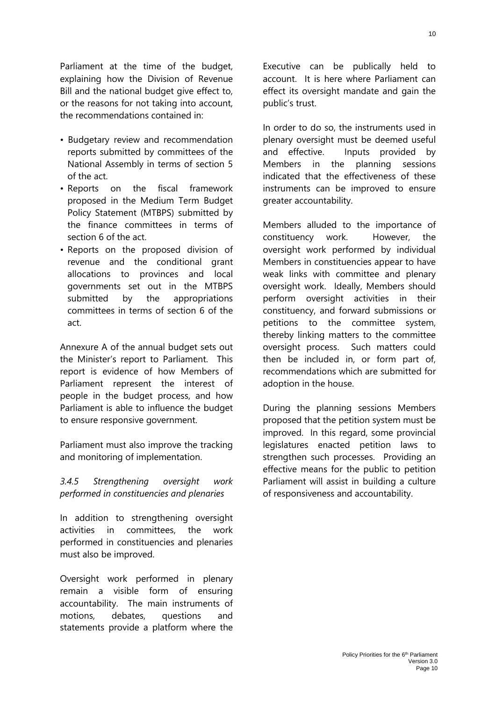Parliament at the time of the budget, explaining how the Division of Revenue Bill and the national budget give effect to, or the reasons for not taking into account, the recommendations contained in:

- Budgetary review and recommendation reports submitted by committees of the National Assembly in terms of section 5 of the act.
- Reports on the fiscal framework proposed in the Medium Term Budget Policy Statement (MTBPS) submitted by the finance committees in terms of section 6 of the act.
- Reports on the proposed division of revenue and the conditional grant allocations to provinces and local governments set out in the MTBPS submitted by the appropriations committees in terms of section 6 of the act.

Annexure A of the annual budget sets out the Minister's report to Parliament. This report is evidence of how Members of Parliament represent the interest of people in the budget process, and how Parliament is able to influence the budget to ensure responsive government.

Parliament must also improve the tracking and monitoring of implementation.

#### <span id="page-9-0"></span>*3.4.5 Strengthening oversight work performed in constituencies and plenaries*

In addition to strengthening oversight activities in committees, the work performed in constituencies and plenaries must also be improved.

Oversight work performed in plenary remain a visible form of ensuring accountability. The main instruments of motions, debates, questions and statements provide a platform where the

Executive can be publically held to account. It is here where Parliament can effect its oversight mandate and gain the public's trust.

In order to do so, the instruments used in plenary oversight must be deemed useful and effective. Inputs provided by Members in the planning sessions indicated that the effectiveness of these instruments can be improved to ensure greater accountability.

Members alluded to the importance of constituency work. However, the oversight work performed by individual Members in constituencies appear to have weak links with committee and plenary oversight work. Ideally, Members should perform oversight activities in their constituency, and forward submissions or petitions to the committee system, thereby linking matters to the committee oversight process. Such matters could then be included in, or form part of, recommendations which are submitted for adoption in the house.

During the planning sessions Members proposed that the petition system must be improved. In this regard, some provincial legislatures enacted petition laws to strengthen such processes. Providing an effective means for the public to petition Parliament will assist in building a culture of responsiveness and accountability.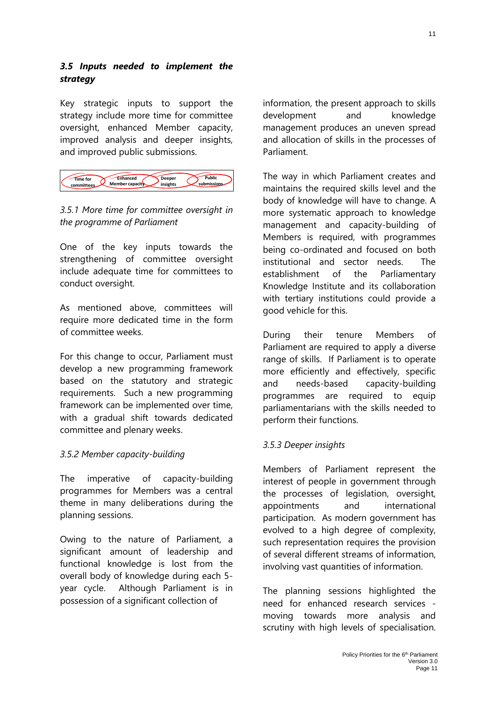#### <span id="page-10-0"></span>*3.5 Inputs needed to implement the strategy*

Key strategic inputs to support the strategy include more time for committee oversight, enhanced Member capacity, improved analysis and deeper insights, and improved public submissions.



# <span id="page-10-1"></span>*3.5.1 More time for committee oversight in the programme of Parliament*

One of the key inputs towards the strengthening of committee oversight include adequate time for committees to conduct oversight.

As mentioned above, committees will require more dedicated time in the form of committee weeks.

For this change to occur, Parliament must develop a new programming framework based on the statutory and strategic requirements. Such a new programming framework can be implemented over time, with a gradual shift towards dedicated committee and plenary weeks.

### <span id="page-10-2"></span>*3.5.2 Member capacity-building*

The imperative of capacity-building programmes for Members was a central theme in many deliberations during the planning sessions.

Owing to the nature of Parliament, a significant amount of leadership and functional knowledge is lost from the overall body of knowledge during each 5 year cycle. Although Parliament is in possession of a significant collection of

information, the present approach to skills development and knowledge management produces an uneven spread and allocation of skills in the processes of Parliament.

The way in which Parliament creates and maintains the required skills level and the body of knowledge will have to change. A more systematic approach to knowledge management and capacity-building of Members is required, with programmes being co-ordinated and focused on both institutional and sector needs. The establishment of the Parliamentary Knowledge Institute and its collaboration with tertiary institutions could provide a good vehicle for this.

During their tenure Members of Parliament are required to apply a diverse range of skills. If Parliament is to operate more efficiently and effectively, specific and needs-based capacity-building programmes are required to equip parliamentarians with the skills needed to perform their functions.

### <span id="page-10-3"></span>*3.5.3 Deeper insights*

Members of Parliament represent the interest of people in government through the processes of legislation, oversight, appointments and international participation. As modern government has evolved to a high degree of complexity, such representation requires the provision of several different streams of information, involving vast quantities of information.

The planning sessions highlighted the need for enhanced research services moving towards more analysis and scrutiny with high levels of specialisation.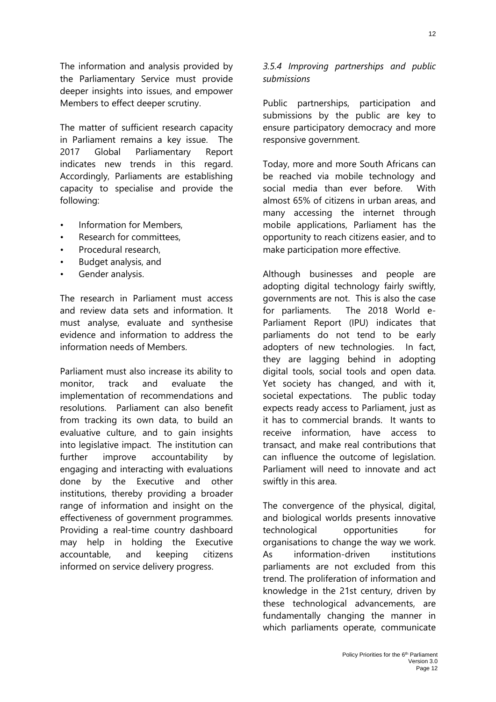The information and analysis provided by the Parliamentary Service must provide deeper insights into issues, and empower Members to effect deeper scrutiny.

The matter of sufficient research capacity in Parliament remains a key issue. The 2017 Global Parliamentary Report indicates new trends in this regard. Accordingly, Parliaments are establishing capacity to specialise and provide the following:

- Information for Members.
- Research for committees,
- Procedural research,
- Budget analysis, and
- Gender analysis.

The research in Parliament must access and review data sets and information. It must analyse, evaluate and synthesise evidence and information to address the information needs of Members.

Parliament must also increase its ability to monitor, track and evaluate the implementation of recommendations and resolutions. Parliament can also benefit from tracking its own data, to build an evaluative culture, and to gain insights into legislative impact. The institution can further improve accountability by engaging and interacting with evaluations done by the Executive and other institutions, thereby providing a broader range of information and insight on the effectiveness of government programmes. Providing a real-time country dashboard may help in holding the Executive accountable, and keeping citizens informed on service delivery progress.

#### <span id="page-11-0"></span>*3.5.4 Improving partnerships and public submissions*

Public partnerships, participation and submissions by the public are key to ensure participatory democracy and more responsive government.

Today, more and more South Africans can be reached via mobile technology and social media than ever before. With almost 65% of citizens in urban areas, and many accessing the internet through mobile applications, Parliament has the opportunity to reach citizens easier, and to make participation more effective.

Although businesses and people are adopting digital technology fairly swiftly, governments are not. This is also the case for parliaments. The 2018 World e-Parliament Report (IPU) indicates that parliaments do not tend to be early adopters of new technologies. In fact, they are lagging behind in adopting digital tools, social tools and open data. Yet society has changed, and with it, societal expectations. The public today expects ready access to Parliament, just as it has to commercial brands. It wants to receive information, have access to transact, and make real contributions that can influence the outcome of legislation. Parliament will need to innovate and act swiftly in this area.

The convergence of the physical, digital, and biological worlds presents innovative technological opportunities for organisations to change the way we work. As information-driven institutions parliaments are not excluded from this trend. The proliferation of information and knowledge in the 21st century, driven by these technological advancements, are fundamentally changing the manner in which parliaments operate, communicate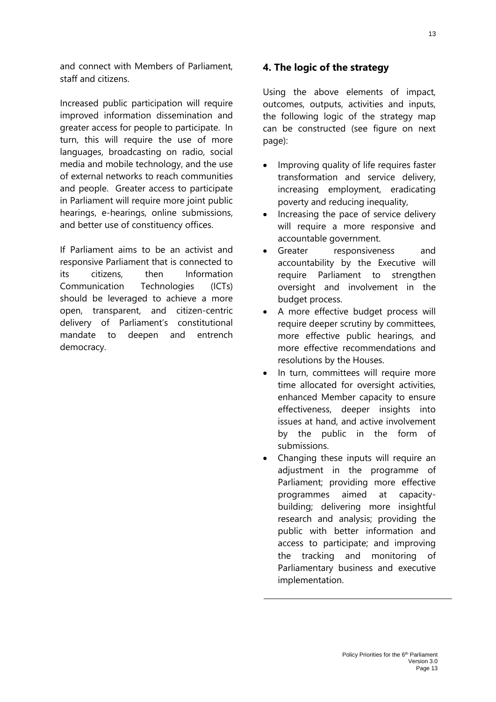and connect with Members of Parliament, staff and citizens.

Increased public participation will require improved information dissemination and greater access for people to participate. In turn, this will require the use of more languages, broadcasting on radio, social media and mobile technology, and the use of external networks to reach communities and people. Greater access to participate in Parliament will require more joint public hearings, e-hearings, online submissions, and better use of constituency offices.

If Parliament aims to be an activist and responsive Parliament that is connected to its citizens, then Information Communication Technologies (ICTs) should be leveraged to achieve a more open, transparent, and citizen-centric delivery of Parliament's constitutional mandate to deepen and entrench democracy.

#### <span id="page-12-0"></span>**4. The logic of the strategy**

Using the above elements of impact, outcomes, outputs, activities and inputs, the following logic of the strategy map can be constructed (see figure on next page):

- Improving quality of life requires faster transformation and service delivery, increasing employment, eradicating poverty and reducing inequality,
- Increasing the pace of service delivery will require a more responsive and accountable government.
- Greater responsiveness and accountability by the Executive will require Parliament to strengthen oversight and involvement in the budget process.
- A more effective budget process will require deeper scrutiny by committees, more effective public hearings, and more effective recommendations and resolutions by the Houses.
- In turn, committees will require more time allocated for oversight activities, enhanced Member capacity to ensure effectiveness, deeper insights into issues at hand, and active involvement by the public in the form of submissions.
- Changing these inputs will require an adjustment in the programme of Parliament; providing more effective programmes aimed at capacitybuilding; delivering more insightful research and analysis; providing the public with better information and access to participate; and improving the tracking and monitoring of Parliamentary business and executive implementation.